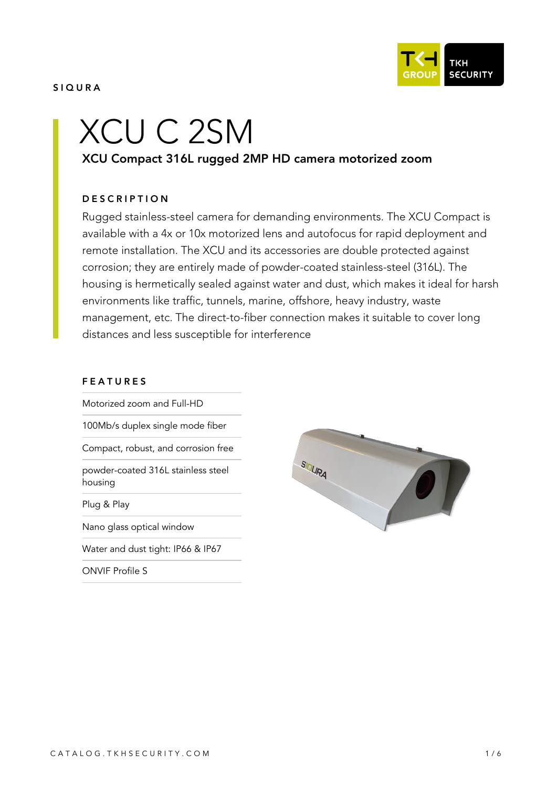

#### SIQURA

# XCU C 2SM

# XCU Compact 316L rugged 2MP HD camera motorized zoom

#### **DESCRIPTION**

Rugged stainless-steel camera for demanding environments. The XCU Compact is available with a 4x or 10x motorized lens and autofocus for rapid deployment and remote installation. The XCU and its accessories are double protected against corrosion; they are entirely made of powder-coated stainless-steel (316L). The housing is hermetically sealed against water and dust, which makes it ideal for harsh environments like traffic, tunnels, marine, offshore, heavy industry, waste management, etc. The direct-to-fiber connection makes it suitable to cover long distances and less susceptible for interference

#### FEATURES

Motorized zoom and Full-HD

100Mb/s duplex single mode fiber

Compact, robust, and corrosion free

powder-coated 316L stainless steel housing

Plug & Play

Nano glass optical window

Water and dust tight: IP66 & IP67

ONVIF Profile S

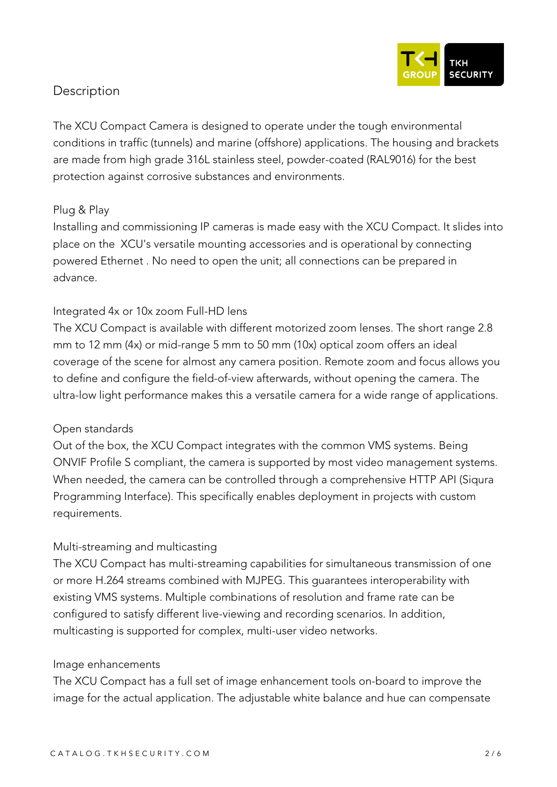

# **Description**

The XCU Compact Camera is designed to operate under the tough environmental conditions in traffic (tunnels) and marine (offshore) applications. The housing and brackets are made from high grade 316L stainless steel, powder-coated (RAL9016) for the best protection against corrosive substances and environments.

### *Plug & Play*

Installing and commissioning IP cameras is made easy with the XCU Compact. It slides into place on the XCU's versatile mounting accessories and is operational by connecting powered Ethernet . No need to open the unit; all connections can be prepared in advance.

### *Integrated 4x or 10x zoom Full-HD lens*

The XCU Compact is available with different motorized zoom lenses. The short range 2.8 mm to 12 mm (4x) or mid-range 5 mm to 50 mm (10x) optical zoom offers an ideal coverage of the scene for almost any camera position. Remote zoom and focus allows you to define and configure the field-of-view afterwards, without opening the camera. The ultra-low light performance makes this a versatile camera for a wide range of applications.

#### *Open standards*

Out of the box, the XCU Compact integrates with the common VMS systems. Being ONVIF Profile S compliant, the camera is supported by most video management systems. When needed, the camera can be controlled through a comprehensive HTTP API (Siqura Programming Interface). This specifically enables deployment in projects with custom requirements.

## *Multi-streaming and multicasting*

The XCU Compact has multi-streaming capabilities for simultaneous transmission of one or more H.264 streams combined with MJPEG. This guarantees interoperability with existing VMS systems. Multiple combinations of resolution and frame rate can be configured to satisfy different live-viewing and recording scenarios. In addition, multicasting is supported for complex, multi-user video networks.

#### *Image enhancements*

The XCU Compact has a full set of image enhancement tools on-board to improve the image for the actual application. The adjustable white balance and hue can compensate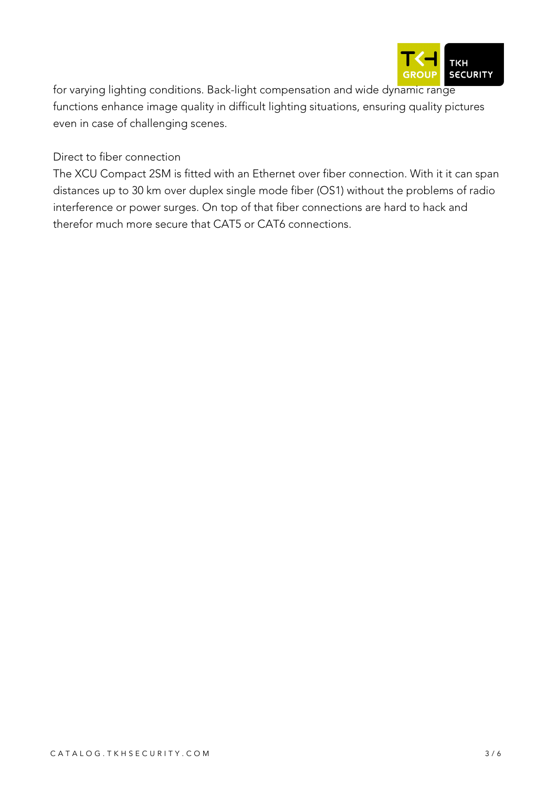

for varying lighting conditions. Back-light compensation and wide dynamic range functions enhance image quality in difficult lighting situations, ensuring quality pictures even in case of challenging scenes.

*Direct to fiber connection*

The XCU Compact 2SM is fitted with an Ethernet over fiber connection. With it it can span distances up to 30 km over duplex single mode fiber (OS1) without the problems of radio interference or power surges. On top of that fiber connections are hard to hack and therefor much more secure that CAT5 or CAT6 connections.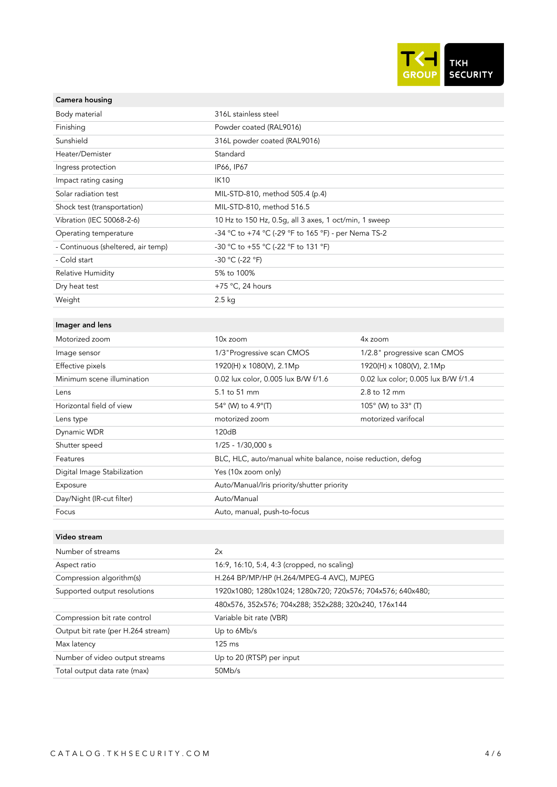

#### Camera housing

| 316L stainless steel                                        |                                     |
|-------------------------------------------------------------|-------------------------------------|
|                                                             |                                     |
| Powder coated (RAL9016)                                     |                                     |
| 316L powder coated (RAL9016)                                |                                     |
| Standard                                                    |                                     |
| IP66, IP67                                                  |                                     |
| <b>IK10</b>                                                 |                                     |
| MIL-STD-810, method 505.4 (p.4)                             |                                     |
| MIL-STD-810, method 516.5                                   |                                     |
| 10 Hz to 150 Hz, 0.5g, all 3 axes, 1 oct/min, 1 sweep       |                                     |
| -34 °C to +74 °C (-29 °F to 165 °F) - per Nema TS-2         |                                     |
| -30 °C to +55 °C (-22 °F to 131 °F)                         |                                     |
| -30 °C (-22 °F)                                             |                                     |
| 5% to 100%                                                  |                                     |
| +75 $\degree$ C, 24 hours                                   |                                     |
| $2.5 \text{ kg}$                                            |                                     |
|                                                             |                                     |
|                                                             |                                     |
| 10x zoom                                                    | 4x zoom                             |
| 1/3 "Progressive scan CMOS                                  | 1/2.8" progressive scan CMOS        |
| 1920(H) x 1080(V), 2.1Mp                                    | 1920(H) x 1080(V), 2.1Mp            |
| 0.02 lux color, 0.005 lux B/W f/1.6                         | 0.02 lux color; 0.005 lux B/W f/1.4 |
| 5.1 to 51 mm                                                | 2.8 to 12 mm                        |
| 54° (W) to 4.9°(T)                                          | 105° (W) to 33° (T)                 |
| motorized zoom                                              | motorized varifocal                 |
| 120dB                                                       |                                     |
| 1/25 - 1/30,000 s                                           |                                     |
| BLC, HLC, auto/manual white balance, noise reduction, defog |                                     |
| Yes (10x zoom only)                                         |                                     |
| Auto/Manual/Iris priority/shutter priority                  |                                     |
| Auto/Manual                                                 |                                     |
| Auto, manual, push-to-focus                                 |                                     |
|                                                             |                                     |
|                                                             |                                     |
| 2x                                                          |                                     |
| 16:9, 16:10, 5:4, 4:3 (cropped, no scaling)                 |                                     |
| H.264 BP/MP/HP (H.264/MPEG-4 AVC), MJPEG                    |                                     |
| 1920x1080; 1280x1024; 1280x720; 720x576; 704x576; 640x480;  |                                     |
| 480x576, 352x576; 704x288; 352x288; 320x240, 176x144        |                                     |
| Variable bit rate (VBR)                                     |                                     |
| Up to 6Mb/s                                                 |                                     |
| 125 ms                                                      |                                     |
| Up to 20 (RTSP) per input                                   |                                     |
|                                                             |                                     |

Total output data rate (max) 50Mb/s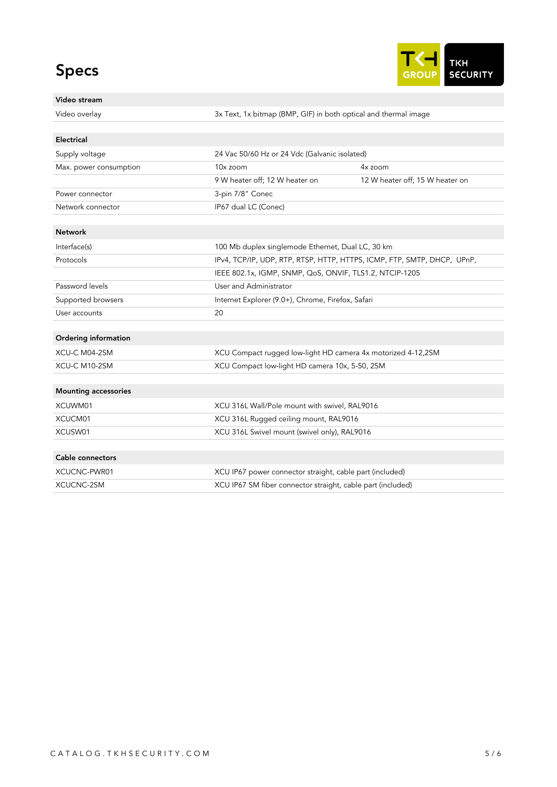# Specs



#### Video stream

Video overlay 3x Text, 1x bitmap (BMP, GIF) in both optical and thermal image

# Electrical Supply voltage 24 Vac 50/60 Hz or 24 Vdc (Galvanic isolated) Max. power consumption 10x zoom 4x zoom 4x zoom 9 W heater off; 12 W heater on 12 W heater off; 15 W heater on Power connector 3-pin 7/8" Conec Network connector IP67 dual LC (Conec) Network Interface(s) 100 Mb duplex singlemode Ethernet, Dual LC, 30 km Protocols IPv4, TCP/IP, UDP, RTP, RTSP, HTTP, HTTPS, ICMP, FTP, SMTP, DHCP, UPnP, IEEE 802.1x, IGMP, SNMP, QoS, ONVIF, TLS1.2, NTCIP-1205 Password levels **Password Levels Password Levels** Supported browsers Internet Explorer (9.0+), Chrome, Firefox, Safari User accounts 20 Ordering information XCU-C M04-2SM XCU Compact rugged low-light HD camera 4x motorized 4-12,2SM XCU-C M10-2SM XCU Compact low-light HD camera 10x, 5-50, 2SM Mounting accessories XCUWM01 XCU 316L Wall/Pole mount with swivel, RAL9016 XCUCM01 XCU 316L Rugged ceiling mount, RAL9016 XCUSW01 XCU 316L Swivel mount (swivel only), RAL9016 Cable connectors XCUCNC-PWR01 XCU IP67 power connector straight, cable part (included) XCUCNC-2SM XCU IP67 SM fiber connector straight, cable part (included)